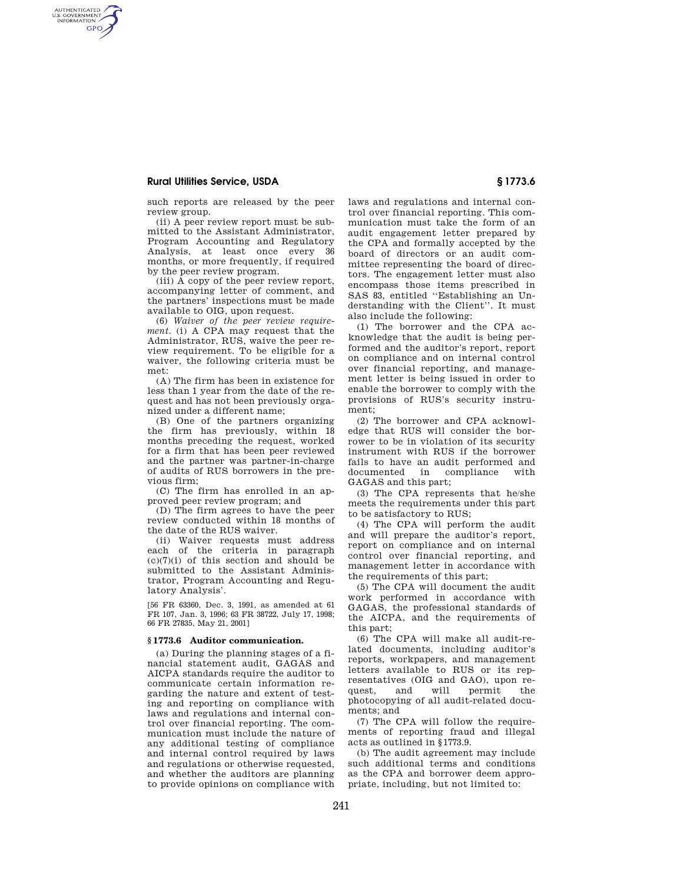# **Rural Utilities Service, USDA § 1773.6**

AUTHENTICATED<br>U.S. GOVERNMENT<br>INFORMATION **GPO** 

such reports are released by the peer review group.

(ii) A peer review report must be submitted to the Assistant Administrator, Program Accounting and Regulatory Analysis, at least once every 36 months, or more frequently, if required by the peer review program.

(iii) A copy of the peer review report, accompanying letter of comment, and the partners' inspections must be made available to OIG, upon request.

(6) *Waiver of the peer review requirement.* (i) A CPA may request that the Administrator, RUS, waive the peer review requirement. To be eligible for a waiver, the following criteria must be met:

(A) The firm has been in existence for less than 1 year from the date of the request and has not been previously organized under a different name;

(B) One of the partners organizing the firm has previously, within 18 months preceding the request, worked for a firm that has been peer reviewed and the partner was partner-in-charge of audits of RUS borrowers in the previous firm;

(C) The firm has enrolled in an approved peer review program; and

(D) The firm agrees to have the peer review conducted within 18 months of the date of the RUS waiver.

(ii) Waiver requests must address each of the criteria in paragraph  $(c)(7)(i)$  of this section and should be submitted to the Assistant Administrator, Program Accounting and Regulatory Analysis'.

[56 FR 63360, Dec. 3, 1991, as amended at 61 FR 107, Jan. 3, 1996; 63 FR 38722, July 17, 1998; 66 FR 27835, May 21, 2001]

### **§ 1773.6 Auditor communication.**

(a) During the planning stages of a financial statement audit, GAGAS and AICPA standards require the auditor to communicate certain information regarding the nature and extent of testing and reporting on compliance with laws and regulations and internal control over financial reporting. The communication must include the nature of any additional testing of compliance and internal control required by laws and regulations or otherwise requested, and whether the auditors are planning to provide opinions on compliance with

laws and regulations and internal control over financial reporting. This communication must take the form of an audit engagement letter prepared by the CPA and formally accepted by the board of directors or an audit committee representing the board of directors. The engagement letter must also encompass those items prescribed in SAS 83, entitled ''Establishing an Understanding with the Client''. It must also include the following:

(1) The borrower and the CPA acknowledge that the audit is being performed and the auditor's report, report on compliance and on internal control over financial reporting, and management letter is being issued in order to enable the borrower to comply with the provisions of RUS's security instrument;

(2) The borrower and CPA acknowledge that RUS will consider the borrower to be in violation of its security instrument with RUS if the borrower fails to have an audit performed and documented in compliance with GAGAS and this part;

(3) The CPA represents that he/she meets the requirements under this part to be satisfactory to RUS;

(4) The CPA will perform the audit and will prepare the auditor's report, report on compliance and on internal control over financial reporting, and management letter in accordance with the requirements of this part;

(5) The CPA will document the audit work performed in accordance with GAGAS, the professional standards of the AICPA, and the requirements of this part;

(6) The CPA will make all audit-related documents, including auditor's reports, workpapers, and management letters available to RUS or its representatives (OIG and GAO), upon request, and will permit the photocopying of all audit-related documents; and

(7) The CPA will follow the requirements of reporting fraud and illegal acts as outlined in §1773.9.

(b) The audit agreement may include such additional terms and conditions as the CPA and borrower deem appropriate, including, but not limited to: